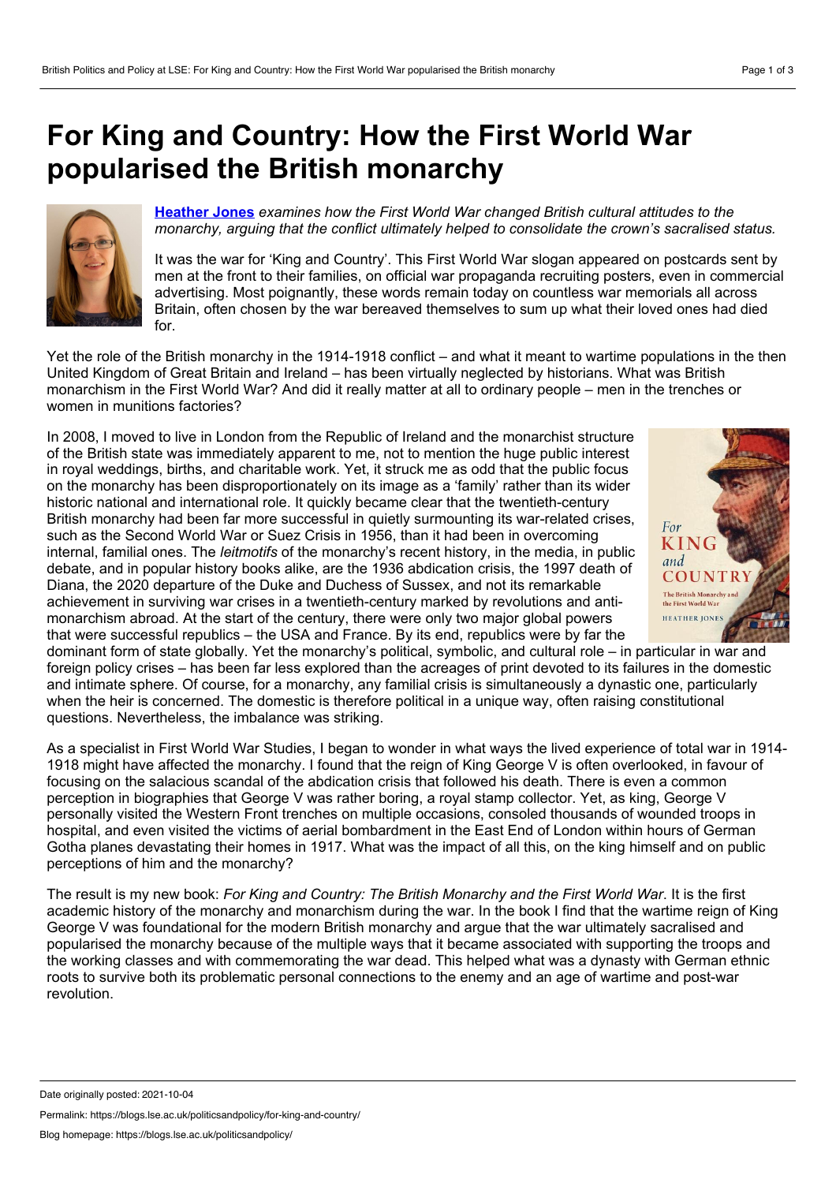## <span id="page-0-0"></span>**For King and Country: How the First World War popularised the British monarchy**



**[Heather](#page-0-0) Jones** *examines how the First World War changed British cultural attitudes to the monarchy, arguing that the conflict ultimately helped to consolidate the crown's sacralised status.*

It was the war for 'King and Country'. This First World War slogan appeared on postcards sent by men at the front to their families, on official war propaganda recruiting posters, even in commercial advertising. Most poignantly, these words remain today on countless war memorials all across Britain, often chosen by the war bereaved themselves to sum up what their loved ones had died for.

Yet the role of the British monarchy in the 1914-1918 conflict – and what it meant to wartime populations in the then United Kingdom of Great Britain and Ireland – has been virtually neglected by historians. What was British monarchism in the First World War? And did it really matter at all to ordinary people – men in the trenches or women in munitions factories?

In 2008, I moved to live in London from the Republic of Ireland and the monarchist structure of the British state was immediately apparent to me, not to mention the huge public interest in royal weddings, births, and charitable work. Yet, it struck me as odd that the public focus on the monarchy has been disproportionately on its image as a 'family' rather than its wider historic national and international role. It quickly became clear that the twentieth-century British monarchy had been far more successful in quietly surmounting its war-related crises, such as the Second World War or Suez Crisis in 1956, than it had been in overcoming internal, familial ones. The *leitmotifs* of the monarchy's recent history, in the media, in public debate, and in popular history books alike, are the 1936 abdication crisis, the 1997 death of Diana, the 2020 departure of the Duke and Duchess of Sussex, and not its remarkable achievement in surviving war crises in a twentieth-century marked by revolutions and anti monarchism abroad. At the start of the century, there were only two major global powers that were successful republics – the USA and France. By its end, republics were by far the



dominant form of state globally. Yet the monarchy's political, symbolic, and cultural role – in particular in war and foreign policy crises – has been far less explored than the acreages of print devoted to its failures in the domestic and intimate sphere. Of course, for a monarchy, any familial crisis is simultaneously a dynastic one, particularly when the heir is concerned. The domestic is therefore political in a unique way, often raising constitutional questions. Nevertheless, the imbalance was striking.

As a specialist in First World War Studies, I began to wonder in what ways the lived experience of total war in 1914- 1918 might have affected the monarchy. I found that the reign of King George V is often overlooked, in favour of focusing on the salacious scandal of the abdication crisis that followed his death. There is even a common perception in biographies that George V was rather boring, a royal stamp collector. Yet, as king, George V personally visited the Western Front trenches on multiple occasions, consoled thousands of wounded troops in hospital, and even visited the victims of aerial bombardment in the East End of London within hours of German Gotha planes devastating their homes in 1917. What was the impact of all this, on the king himself and on public perceptions of him and the monarchy?

The result is my new book: *For King and Country: The British Monarchy and the First World War*. It is the first academic history of the monarchy and monarchism during the war. In the book I find that the wartime reign of King George V was foundational for the modern British monarchy and argue that the war ultimately sacralised and popularised the monarchy because of the multiple ways that it became associated with supporting the troops and the working classes and with commemorating the war dead. This helped what was a dynasty with German ethnic roots to survive both its problematic personal connections to the enemy and an age of wartime and post-war revolution.

Permalink: https://blogs.lse.ac.uk/politicsandpolicy/for-king-and-country/

Date originally posted: 2021-10-04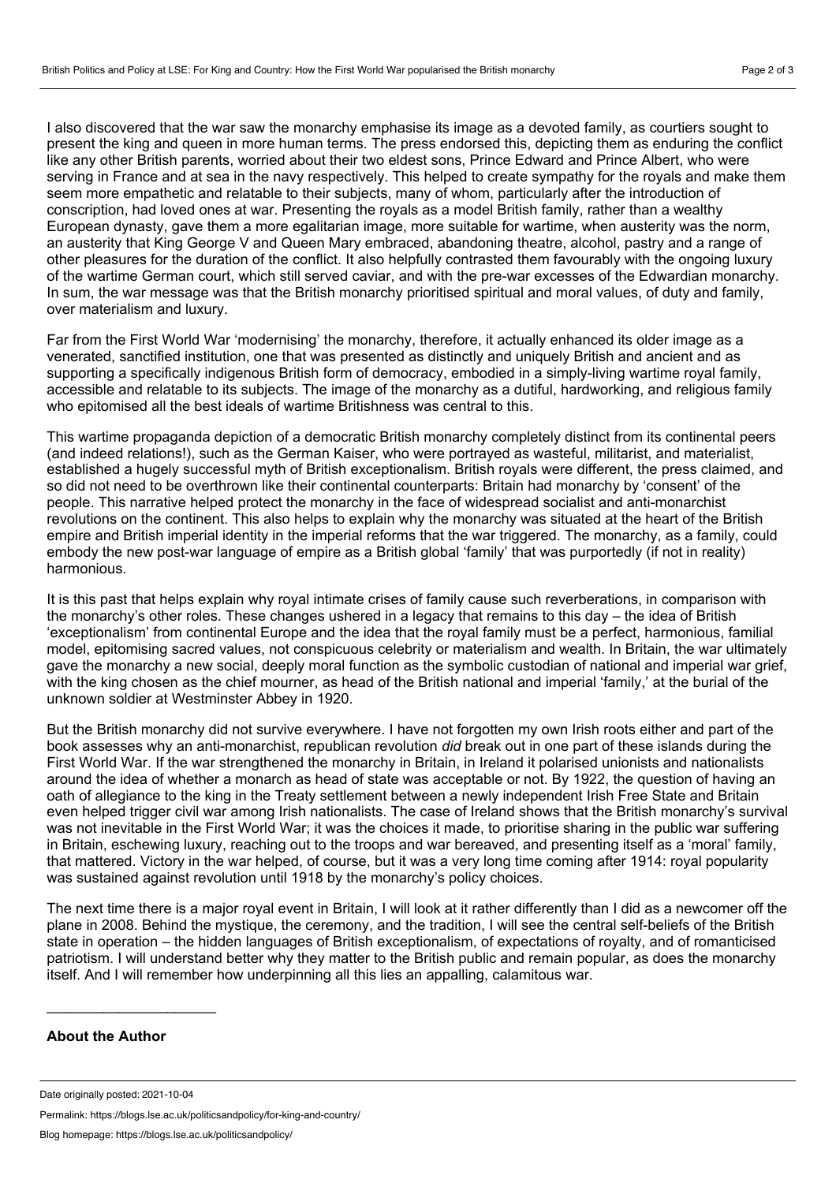I also discovered that the war saw the monarchy emphasise its image as a devoted family, as courtiers sought to present the king and queen in more human terms. The press endorsed this, depicting them as enduring the conflict like any other British parents, worried about their two eldest sons, Prince Edward and Prince Albert, who were serving in France and at sea in the navy respectively. This helped to create sympathy for the royals and make them seem more empathetic and relatable to their subjects, many of whom, particularly after the introduction of conscription, had loved ones at war. Presenting the royals as a model British family, rather than a wealthy European dynasty, gave them a more egalitarian image, more suitable for wartime, when austerity was the norm, an austerity that King George V and Queen Mary embraced, abandoning theatre, alcohol, pastry and a range of other pleasures for the duration of the conflict. It also helpfully contrasted them favourably with the ongoing luxury of the wartime German court, which still served caviar, and with the pre-war excesses of the Edwardian monarchy. In sum, the war message was that the British monarchy prioritised spiritual and moral values, of duty and family, over materialism and luxury.

Far from the First World War 'modernising' the monarchy, therefore, it actually enhanced its older image as a venerated, sanctified institution, one that was presented as distinctly and uniquely British and ancient and as supporting a specifically indigenous British form of democracy, embodied in a simply-living wartime royal family, accessible and relatable to its subjects. The image of the monarchy as a dutiful, hardworking, and religious family who epitomised all the best ideals of wartime Britishness was central to this.

This wartime propaganda depiction of a democratic British monarchy completely distinct from its continental peers (and indeed relations!), such as the German Kaiser, who were portrayed as wasteful, militarist, and materialist, established a hugely successful myth of British exceptionalism. British royals were different, the press claimed, and so did not need to be overthrown like their continental counterparts: Britain had monarchy by 'consent' of the people. This narrative helped protect the monarchy in the face of widespread socialist and anti-monarchist revolutions on the continent. This also helps to explain why the monarchy was situated at the heart of the British empire and British imperial identity in the imperial reforms that the war triggered. The monarchy, as a family, could embody the new post-war language of empire as a British global 'family' that was purportedly (if not in reality) harmonious.

It is this past that helps explain why royal intimate crises of family cause such reverberations, in comparison with the monarchy's other roles. These changes ushered in a legacy that remains to this day – the idea of British 'exceptionalism' from continental Europe and the idea that the royal family must be a perfect, harmonious, familial model, epitomising sacred values, not conspicuous celebrity or materialism and wealth. In Britain, the war ultimately gave the monarchy a new social, deeply moral function as the symbolic custodian of national and imperial war grief, with the king chosen as the chief mourner, as head of the British national and imperial 'family,' at the burial of the unknown soldier at Westminster Abbey in 1920.

But the British monarchy did not survive everywhere. I have not forgotten my own Irish roots either and part of the book assesses why an anti-monarchist, republican revolution *did* break out in one part of these islands during the First World War. If the war strengthened the monarchy in Britain, in Ireland it polarised unionists and nationalists around the idea of whether a monarch as head of state was acceptable or not. By 1922, the question of having an oath of allegiance to the king in the Treaty settlement between a newly independent Irish Free State and Britain even helped trigger civil war among Irish nationalists. The case of Ireland shows that the British monarchy's survival was not inevitable in the First World War; it was the choices it made, to prioritise sharing in the public war suffering in Britain, eschewing luxury, reaching out to the troops and war bereaved, and presenting itself as a 'moral' family, that mattered. Victory in the war helped, of course, but it was a very long time coming after 1914: royal popularity was sustained against revolution until 1918 by the monarchy's policy choices.

The next time there is a major royal event in Britain, I will look at it rather differently than I did as a newcomer off the plane in 2008. Behind the mystique, the ceremony, and the tradition, I will see the central self-beliefs of the British state in operation – the hidden languages of British exceptionalism, of expectations of royalty, and of romanticised patriotism. I will understand better why they matter to the British public and remain popular, as does the monarchy itself. And I will remember how underpinning all this lies an appalling, calamitous war.

## **About the Author**

 $\mathcal{L}_\text{max}$  and  $\mathcal{L}_\text{max}$  and  $\mathcal{L}_\text{max}$  and  $\mathcal{L}_\text{max}$ 

Permalink: https://blogs.lse.ac.uk/politicsandpolicy/for-king-and-country/

Date originally posted: 2021-10-04